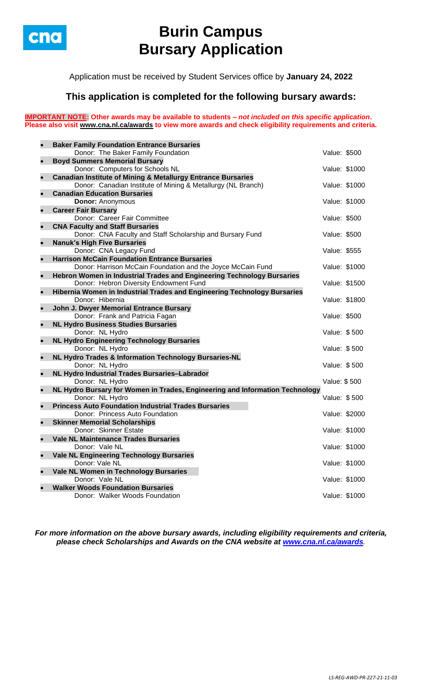

# **Burin Campus Bursary Application**

Application must be received by Student Services office by **January 24, 2022**

### **This application is completed for the following bursary awards:**

#### **IMPORTANT NOTE: Other awards may be available to students –** *not included on this specific application***. Please also visit [www.cna.nl.ca/awards](http://www.cna.nl.ca/awards) to view more awards and check eligibility requirements and criteria.**

| $\bullet$ | <b>Baker Family Foundation Entrance Bursaries</b>                            |               |  |
|-----------|------------------------------------------------------------------------------|---------------|--|
|           | Donor: The Baker Family Foundation                                           | Value: \$500  |  |
| $\bullet$ | <b>Boyd Summers Memorial Bursary</b>                                         |               |  |
|           | Donor: Computers for Schools NL                                              | Value: \$1000 |  |
| $\bullet$ | <b>Canadian Institute of Mining &amp; Metallurgy Entrance Bursaries</b>      |               |  |
|           | Donor: Canadian Institute of Mining & Metallurgy (NL Branch)                 | Value: \$1000 |  |
| $\bullet$ | <b>Canadian Education Bursaries</b>                                          |               |  |
|           | <b>Donor: Anonymous</b>                                                      | Value: \$1000 |  |
| $\bullet$ | <b>Career Fair Bursary</b><br>Donor: Career Fair Committee                   | Value: \$500  |  |
| $\bullet$ | <b>CNA Faculty and Staff Bursaries</b>                                       |               |  |
|           | Donor: CNA Faculty and Staff Scholarship and Bursary Fund                    | Value: \$500  |  |
| $\bullet$ | <b>Nanuk's High Five Bursaries</b>                                           |               |  |
|           | Donor: CNA Legacy Fund                                                       | Value: \$555  |  |
| $\bullet$ | <b>Harrison McCain Foundation Entrance Bursaries</b>                         |               |  |
|           | Donor: Harrison McCain Foundation and the Joyce McCain Fund                  | Value: \$1000 |  |
| $\bullet$ | Hebron Women in Industrial Trades and Engineering Technology Bursaries       |               |  |
|           | Donor: Hebron Diversity Endowment Fund                                       | Value: \$1500 |  |
| $\bullet$ | Hibernia Women in Industrial Trades and Engineering Technology Bursaries     |               |  |
|           | Donor: Hibernia                                                              | Value: \$1800 |  |
| $\bullet$ | John J. Dwyer Memorial Entrance Bursary                                      |               |  |
|           | Donor: Frank and Patricia Fagan                                              | Value: \$500  |  |
| $\bullet$ | <b>NL Hydro Business Studies Bursaries</b>                                   | Value: \$500  |  |
| $\bullet$ | Donor: NL Hydro<br><b>NL Hydro Engineering Technology Bursaries</b>          |               |  |
|           | Donor: NL Hydro                                                              | Value: \$500  |  |
| $\bullet$ | NL Hydro Trades & Information Technology Bursaries-NL                        |               |  |
|           | Donor: NL Hydro                                                              | Value: \$500  |  |
| $\bullet$ | NL Hydro Industrial Trades Bursaries-Labrador                                |               |  |
|           | Donor: NL Hydro                                                              | Value: \$500  |  |
| $\bullet$ | NL Hydro Bursary for Women in Trades, Engineering and Information Technology |               |  |
|           | Donor: NL Hydro                                                              | Value: \$500  |  |
| $\bullet$ | <b>Princess Auto Foundation Industrial Trades Bursaries</b>                  |               |  |
|           | Donor: Princess Auto Foundation                                              | Value: \$2000 |  |
| $\bullet$ | <b>Skinner Memorial Scholarships</b>                                         |               |  |
|           | Donor: Skinner Estate                                                        | Value: \$1000 |  |
| $\bullet$ | <b>Vale NL Maintenance Trades Bursaries</b><br>Donor: Vale NL                | Value: \$1000 |  |
|           | <b>Vale NL Engineering Technology Bursaries</b>                              |               |  |
|           | Donor: Vale NL                                                               | Value: \$1000 |  |
| $\bullet$ | Vale NL Women in Technology Bursaries                                        |               |  |
|           | Donor: Vale NL                                                               | Value: \$1000 |  |
| $\bullet$ | <b>Walker Woods Foundation Bursaries</b>                                     |               |  |
|           | Donor: Walker Woods Foundation                                               | Value: \$1000 |  |
|           |                                                                              |               |  |

*For more information on the above bursary awards, including eligibility requirements and criteria, please check Scholarships and Awards on the CNA website at [www.cna.nl.ca/awards](http://www.cna.nl.ca/awards).*